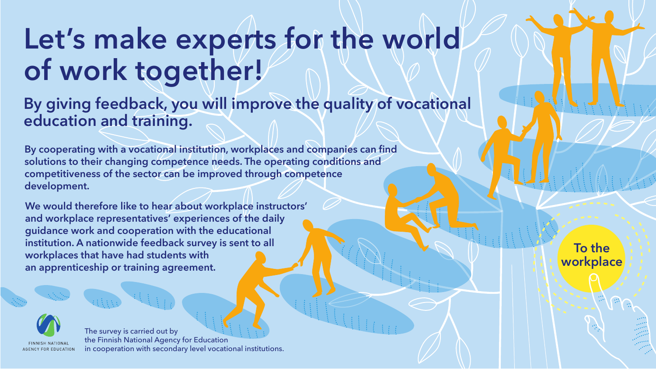## Let's make experts for the world **of work together!**

## **By giving feedback, you will improve the quality of vocational education and training.**

**By cooperating with a vocational institution, workplaces and companies can find solutions to their changing competence needs. The operating conditions and competitiveness of the sector can be improved through competence development.** 

**We would therefore like to hear about workplace instructors' and workplace representatives' experiences of the daily guidance work and cooperation with the educational institution. A nationwide feedback survey is sent to all workplaces that have had students with an apprenticeship or training agreement.** 

**To the workplace**



The survey is carried out by the Finnish National Agency for Education in cooperation with secondary level vocational institutions.